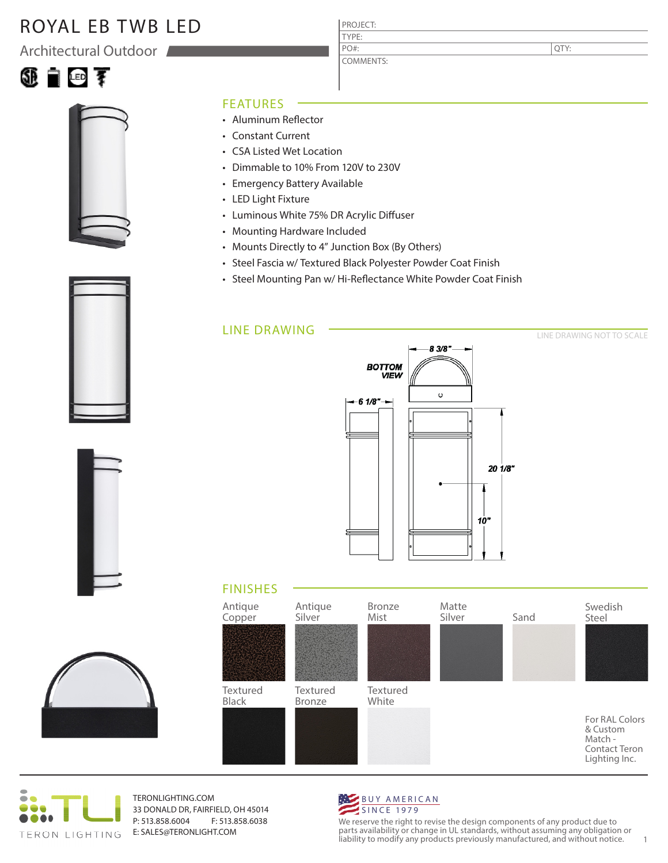## ROYAL EB TWB LED

Architectural Outdoor





### FEATURES

- Aluminum Reflector
- Constant Current
- CSA Listed Wet Location
- Dimmable to 10% From 120V to 230V
- Emergency Battery Available
- LED Light Fixture
- Luminous White 75% DR Acrylic Diffuser
- Mounting Hardware Included
- Mounts Directly to 4" Junction Box (By Others)
- Steel Fascia w/ Textured Black Polyester Powder Coat Finish

PROJECT: TYPE:

PO#:

COMMENTS:

• Steel Mounting Pan w/ Hi-Reflectance White Powder Coat Finish

### LINE DRAWING



### LINE DRAWING NOT TO SCALE

QTY:



## FINISHES





TERONLIGHTING.COM 33 DONALD DR, FAIRFIELD, OH 45014 P: 513.858.6004 F: 513.858.6038 E: SALES@TERONLIGHT.COM



We reserve the right to revise the design components of any product due to parts availability or change in UL standards, without assuming any obligation or liability to modify any products previously manufactured, and without notice. 1